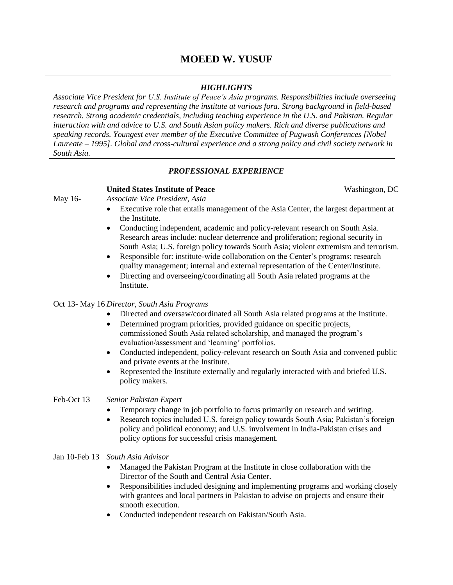# **MOEED W. YUSUF**

# *HIGHLIGHTS*

*Associate Vice President for U.S. Institute of Peace's Asia programs. Responsibilities include overseeing research and programs and representing the institute at various fora. Strong background in field-based research. Strong academic credentials, including teaching experience in the U.S. and Pakistan. Regular interaction with and advice to U.S. and South Asian policy makers. Rich and diverse publications and speaking records. Youngest ever member of the Executive Committee of Pugwash Conferences [Nobel Laureate – 1995]. Global and cross-cultural experience and a strong policy and civil society network in South Asia.* 

# *PROFESSIONAL EXPERIENCE*

## **United States Institute of Peace Washington, DC**

- May 16- *Associate Vice President, Asia*
	- Executive role that entails management of the Asia Center, the largest department at the Institute.
	- Conducting independent, academic and policy-relevant research on South Asia. Research areas include: nuclear deterrence and proliferation; regional security in South Asia; U.S. foreign policy towards South Asia; violent extremism and terrorism.
	- Responsible for: institute-wide collaboration on the Center's programs; research quality management; internal and external representation of the Center/Institute.
	- Directing and overseeing/coordinating all South Asia related programs at the Institute.

## Oct 13- May 16 *Director, South Asia Programs*

- Directed and oversaw/coordinated all South Asia related programs at the Institute.
- Determined program priorities, provided guidance on specific projects, commissioned South Asia related scholarship, and managed the program"s evaluation/assessment and "learning" portfolios.
- Conducted independent, policy-relevant research on South Asia and convened public and private events at the Institute.
- Represented the Institute externally and regularly interacted with and briefed U.S. policy makers.

## Feb-Oct 13 *Senior Pakistan Expert*

- Temporary change in job portfolio to focus primarily on research and writing.
- Research topics included U.S. foreign policy towards South Asia; Pakistan"s foreign policy and political economy; and U.S. involvement in India-Pakistan crises and policy options for successful crisis management.

## Jan 10-Feb 13 *South Asia Advisor*

- Managed the Pakistan Program at the Institute in close collaboration with the Director of the South and Central Asia Center.
- Responsibilities included designing and implementing programs and working closely with grantees and local partners in Pakistan to advise on projects and ensure their smooth execution.
- Conducted independent research on Pakistan/South Asia.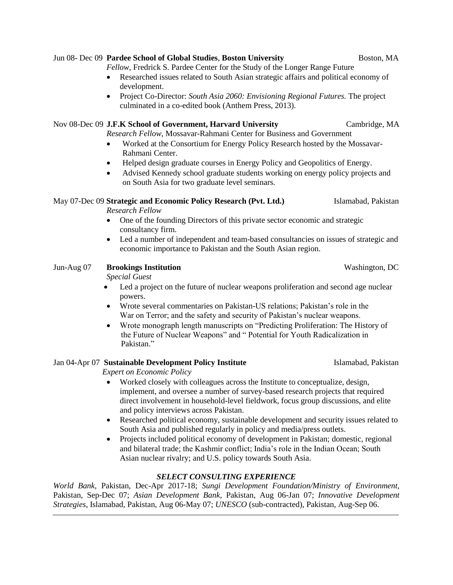## Jun 08- Dec 09 **Pardee School of Global Studies**, **Boston University** Boston, MA

*Fellow,* Fredrick S. Pardee Center for the Study of the Longer Range Future

- Researched issues related to South Asian strategic affairs and political economy of development.
- Project Co-Director: *South Asia 2060: Envisioning Regional Futures.* The project culminated in a co-edited book (Anthem Press, 2013).

# Nov 08-Dec 09 **J.F.K School of Government, Harvard University** Cambridge, MA

*Research Fellow,* Mossavar-Rahmani Center for Business and Government

- Worked at the Consortium for Energy Policy Research hosted by the Mossavar-Rahmani Center.
- Helped design graduate courses in Energy Policy and Geopolitics of Energy.
- Advised Kennedy school graduate students working on energy policy projects and on South Asia for two graduate level seminars.

# May 07-Dec 09 **Strategic and Economic Policy Research (Pvt. Ltd.)** Islamabad, Pakistan

*Research Fellow* 

- One of the founding Directors of this private sector economic and strategic consultancy firm.
- Led a number of independent and team-based consultancies on issues of strategic and economic importance to Pakistan and the South Asian region.

# Jun-Aug 07 **Brookings Institution** Washington, DC

*Special Guest* 

- Led a project on the future of nuclear weapons proliferation and second age nuclear powers.
- Wrote several commentaries on Pakistan-US relations; Pakistan"s role in the War on Terror; and the safety and security of Pakistan's nuclear weapons.
- Wrote monograph length manuscripts on "Predicting Proliferation: The History of the Future of Nuclear Weapons" and " Potential for Youth Radicalization in Pakistan."

# Jan 04-Apr 07 **Sustainable Development Policy Institute** Islamabad, Pakistan

*Expert on Economic Policy*

- Worked closely with colleagues across the Institute to conceptualize, design, implement, and oversee a number of survey-based research projects that required direct involvement in household-level fieldwork, focus group discussions, and elite and policy interviews across Pakistan.
- Researched political economy, sustainable development and security issues related to South Asia and published regularly in policy and media/press outlets.
- Projects included political economy of development in Pakistan; domestic, regional and bilateral trade; the Kashmir conflict; India"s role in the Indian Ocean; South Asian nuclear rivalry; and U.S. policy towards South Asia.

# *SELECT CONSULTING EXPERIENCE*

*World Bank,* Pakistan, Dec-Apr 2017-18; *Sungi Development Foundation/Ministry of Environment*, Pakistan, Sep-Dec 07; *Asian Development Bank*, Pakistan, Aug 06-Jan 07; *Innovative Development Strategies*, Islamabad, Pakistan, Aug 06-May 07; *UNESCO* (sub-contracted), Pakistan, Aug-Sep 06.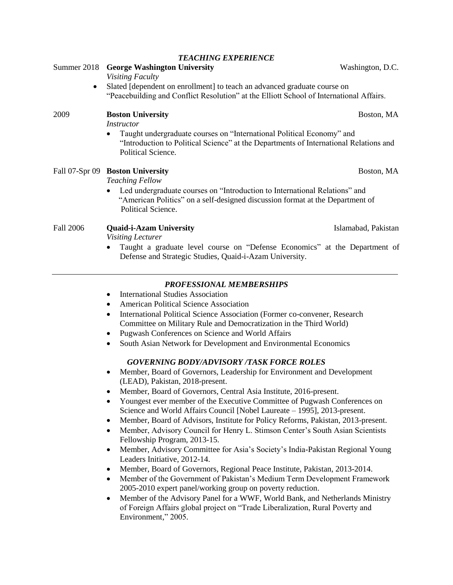|                  | Slated [dependent on enrollment] to teach an advanced graduate course on<br>"Peacebuilding and Conflict Resolution" at the Elliott School of International Affairs.                                                                                                                                                                                                                                                                                                                                                                                                                                                                                                                                                                                                                                                                                                                                                                                                                                                                                                                                                                                                                                                                                                                                                                                                                                                                                                                                                                                                                                                                 |
|------------------|-------------------------------------------------------------------------------------------------------------------------------------------------------------------------------------------------------------------------------------------------------------------------------------------------------------------------------------------------------------------------------------------------------------------------------------------------------------------------------------------------------------------------------------------------------------------------------------------------------------------------------------------------------------------------------------------------------------------------------------------------------------------------------------------------------------------------------------------------------------------------------------------------------------------------------------------------------------------------------------------------------------------------------------------------------------------------------------------------------------------------------------------------------------------------------------------------------------------------------------------------------------------------------------------------------------------------------------------------------------------------------------------------------------------------------------------------------------------------------------------------------------------------------------------------------------------------------------------------------------------------------------|
| 2009             | <b>Boston University</b><br>Boston, MA<br><b>Instructor</b>                                                                                                                                                                                                                                                                                                                                                                                                                                                                                                                                                                                                                                                                                                                                                                                                                                                                                                                                                                                                                                                                                                                                                                                                                                                                                                                                                                                                                                                                                                                                                                         |
|                  | Taught undergraduate courses on "International Political Economy" and<br>"Introduction to Political Science" at the Departments of International Relations and<br>Political Science.                                                                                                                                                                                                                                                                                                                                                                                                                                                                                                                                                                                                                                                                                                                                                                                                                                                                                                                                                                                                                                                                                                                                                                                                                                                                                                                                                                                                                                                |
|                  | Fall 07-Spr 09 Boston University<br>Boston, MA<br><b>Teaching Fellow</b><br>Led undergraduate courses on "Introduction to International Relations" and<br>"American Politics" on a self-designed discussion format at the Department of                                                                                                                                                                                                                                                                                                                                                                                                                                                                                                                                                                                                                                                                                                                                                                                                                                                                                                                                                                                                                                                                                                                                                                                                                                                                                                                                                                                             |
| <b>Fall 2006</b> | Political Science.<br><b>Quaid-i-Azam University</b><br>Islamabad, Pakistan<br>Visiting Lecturer<br>Taught a graduate level course on "Defense Economics" at the Department of<br>Defense and Strategic Studies, Quaid-i-Azam University.                                                                                                                                                                                                                                                                                                                                                                                                                                                                                                                                                                                                                                                                                                                                                                                                                                                                                                                                                                                                                                                                                                                                                                                                                                                                                                                                                                                           |
|                  | <b>PROFESSIONAL MEMBERSHIPS</b><br><b>International Studies Association</b><br>٠<br>American Political Science Association<br>٠<br>International Political Science Association (Former co-convener, Research<br>٠<br>Committee on Military Rule and Democratization in the Third World)<br>Pugwash Conferences on Science and World Affairs<br>$\bullet$<br>South Asian Network for Development and Environmental Economics<br>$\bullet$<br><b>GOVERNING BODY/ADVISORY /TASK FORCE ROLES</b><br>Member, Board of Governors, Leadership for Environment and Development<br>٠<br>(LEAD), Pakistan, 2018-present.<br>Member, Board of Governors, Central Asia Institute, 2016-present.<br>٠<br>Youngest ever member of the Executive Committee of Pugwash Conferences on<br>Science and World Affairs Council [Nobel Laureate - 1995], 2013-present.<br>Member, Board of Advisors, Institute for Policy Reforms, Pakistan, 2013-present.<br>Member, Advisory Council for Henry L. Stimson Center's South Asian Scientists<br>Fellowship Program, 2013-15.<br>Member, Advisory Committee for Asia's Society's India-Pakistan Regional Young<br>$\bullet$<br>Leaders Initiative, 2012-14.<br>Member, Board of Governors, Regional Peace Institute, Pakistan, 2013-2014.<br>٠<br>Member of the Government of Pakistan's Medium Term Development Framework<br>$\bullet$<br>2005-2010 expert panel/working group on poverty reduction.<br>Member of the Advisory Panel for a WWF, World Bank, and Netherlands Ministry<br>$\bullet$<br>of Foreign Affairs global project on "Trade Liberalization, Rural Poverty and<br>Environment," 2005. |

#### *TEACHING EXPERIENCE*

Summer 2018 **George Washington University Washington, D.C.** 

*Visiting Faculty*

Slated [dependent on enrollment] to teach an advanced graduate course on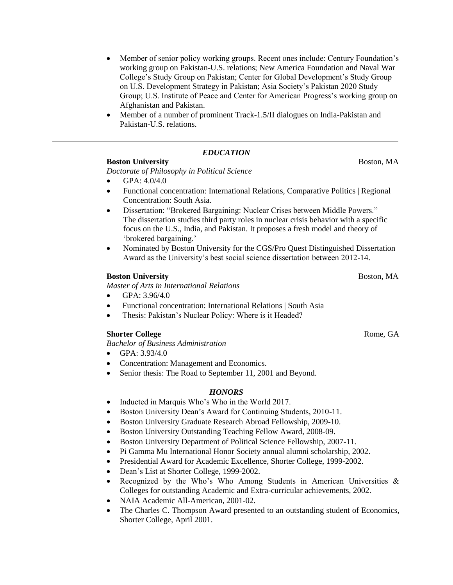- Member of senior policy working groups. Recent ones include: Century Foundation"s working group on Pakistan-U.S. relations; New America Foundation and Naval War College's Study Group on Pakistan; Center for Global Development's Study Group on U.S. Development Strategy in Pakistan; Asia Society"s Pakistan 2020 Study Group; U.S. Institute of Peace and Center for American Progress"s working group on Afghanistan and Pakistan.
- Member of a number of prominent Track-1.5/II dialogues on India-Pakistan and Pakistan-U.S. relations.

## *EDUCATION*

### **Boston University Boston, MA**

*Doctorate of Philosophy in Political Science*

- $\bullet$  GPA: 4.0/4.0
- Functional concentration: International Relations, Comparative Politics | Regional Concentration: South Asia.
- Dissertation: "Brokered Bargaining: Nuclear Crises between Middle Powers." The dissertation studies third party roles in nuclear crisis behavior with a specific focus on the U.S., India, and Pakistan. It proposes a fresh model and theory of "brokered bargaining."
- Nominated by Boston University for the CGS/Pro Quest Distinguished Dissertation Award as the University"s best social science dissertation between 2012-14.

### **Boston University Boston, MA**

*Master of Arts in International Relations* 

- $\bullet$  GPA: 3.96/4.0
- Functional concentration: International Relations | South Asia
- Thesis: Pakistan"s Nuclear Policy: Where is it Headed?

## **Shorter College Rome, GA**

*Bachelor of Business Administration*

- GPA: 3.93/4.0
- Concentration: Management and Economics.
- Senior thesis: The Road to September 11, 2001 and Beyond.

#### *HONORS*

- Inducted in Marquis Who's Who in the World 2017.
- Boston University Dean"s Award for Continuing Students, 2010-11.
- Boston University Graduate Research Abroad Fellowship, 2009-10.
- Boston University Outstanding Teaching Fellow Award, 2008-09.
- Boston University Department of Political Science Fellowship, 2007-11.
- Pi Gamma Mu International Honor Society annual alumni scholarship, 2002.
- Presidential Award for Academic Excellence, Shorter College, 1999-2002.
- Dean"s List at Shorter College, 1999-2002.
- Recognized by the Who's Who Among Students in American Universities  $\&$ Colleges for outstanding Academic and Extra-curricular achievements, 2002.
- NAIA Academic All-American, 2001-02.
- The Charles C. Thompson Award presented to an outstanding student of Economics, Shorter College, April 2001.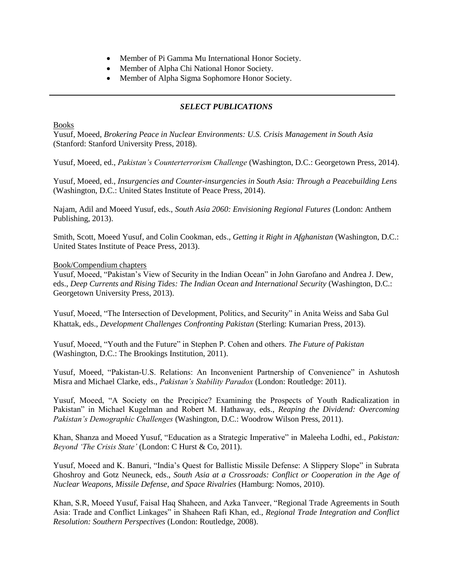- Member of Pi Gamma Mu International Honor Society.
- Member of Alpha Chi National Honor Society.
- Member of Alpha Sigma Sophomore Honor Society.

## *SELECT PUBLICATIONS*

#### Books

Yusuf, Moeed, *Brokering Peace in Nuclear Environments: U.S. Crisis Management in South Asia* (Stanford: Stanford University Press, 2018).

Yusuf, Moeed, ed., *Pakistan's Counterterrorism Challenge* (Washington, D.C.: Georgetown Press, 2014).

Yusuf, Moeed, ed., *Insurgencies and Counter-insurgencies in South Asia: Through a Peacebuilding Lens*  (Washington, D.C.: United States Institute of Peace Press, 2014).

Najam, Adil and Moeed Yusuf, eds., *South Asia 2060: Envisioning Regional Futures* (London: Anthem Publishing, 2013).

Smith, Scott, Moeed Yusuf, and Colin Cookman, eds., *Getting it Right in Afghanistan* (Washington, D.C.: United States Institute of Peace Press, 2013).

### Book/Compendium chapters

Yusuf, Moeed, "Pakistan"s View of Security in the Indian Ocean" in John Garofano and Andrea J. Dew, eds., *Deep Currents and Rising Tides: The Indian Ocean and International Security* (Washington, D.C.: Georgetown University Press, 2013).

Yusuf, Moeed, "The Intersection of Development, Politics, and Security" in Anita Weiss and Saba Gul Khattak, eds., *Development Challenges Confronting Pakistan* (Sterling: Kumarian Press, 2013).

Yusuf, Moeed, "Youth and the Future" in Stephen P. Cohen and others. *The Future of Pakistan* (Washington, D.C.: The Brookings Institution, 2011).

Yusuf, Moeed, "Pakistan-U.S. Relations: An Inconvenient Partnership of Convenience" in Ashutosh Misra and Michael Clarke, eds., *Pakistan's Stability Paradox* (London: Routledge: 2011).

Yusuf, Moeed, "A Society on the Precipice? Examining the Prospects of Youth Radicalization in Pakistan" in Michael Kugelman and Robert M. Hathaway, eds., *Reaping the Dividend: Overcoming Pakistan's Demographic Challenges* (Washington, D.C.: Woodrow Wilson Press, 2011).

Khan, Shanza and Moeed Yusuf, "Education as a Strategic Imperative" in Maleeha Lodhi, ed., *Pakistan: Beyond 'The Crisis State'* (London: C Hurst & Co, 2011).

Yusuf, Moeed and K. Banuri, "India"s Quest for Ballistic Missile Defense: A Slippery Slope" in Subrata Ghoshroy and Gotz Neuneck, eds., *South Asia at a Crossroads: Conflict or Cooperation in the Age of Nuclear Weapons, Missile Defense, and Space Rivalries* (Hamburg: Nomos, 2010).

Khan, S.R, Moeed Yusuf, Faisal Haq Shaheen, and Azka Tanveer, "Regional Trade Agreements in South Asia: Trade and Conflict Linkages" in Shaheen Rafi Khan, ed., *Regional Trade Integration and Conflict Resolution: Southern Perspectives* (London: Routledge, 2008).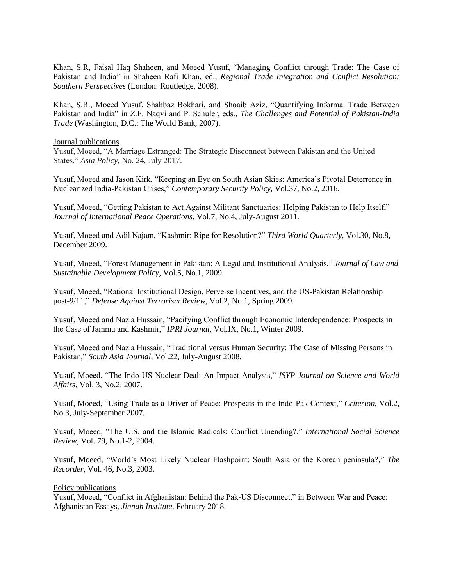Khan, S.R, Faisal Haq Shaheen, and Moeed Yusuf, "Managing Conflict through Trade: The Case of Pakistan and India" in Shaheen Rafi Khan, ed., *Regional Trade Integration and Conflict Resolution: Southern Perspectives* (London: Routledge, 2008).

Khan, S.R., Moeed Yusuf, Shahbaz Bokhari, and Shoaib Aziz, "Quantifying Informal Trade Between Pakistan and India" in Z.F. Naqvi and P. Schuler, eds., *The Challenges and Potential of Pakistan-India Trade* (Washington, D.C.: The World Bank, 2007).

### Journal publications

Yusuf, Moeed, "A Marriage Estranged: The Strategic Disconnect between Pakistan and the United States," *Asia Policy*, No. 24, July 2017.

Yusuf, Moeed and Jason Kirk, "Keeping an Eye on South Asian Skies: America"s Pivotal Deterrence in Nuclearized India-Pakistan Crises," *Contemporary Security Policy,* Vol.37, No.2, 2016.

Yusuf, Moeed, "Getting Pakistan to Act Against Militant Sanctuaries: Helping Pakistan to Help Itself," *Journal of International Peace Operations*, Vol.7, No.4, July-August 2011.

Yusuf, Moeed and Adil Najam, "Kashmir: Ripe for Resolution?" *Third World Quarterly*, Vol.30, No.8, December 2009.

Yusuf, Moeed, "Forest Management in Pakistan: A Legal and Institutional Analysis," *Journal of Law and Sustainable Development Policy*, Vol.5, No.1, 2009.

Yusuf, Moeed, "Rational Institutional Design, Perverse Incentives, and the US-Pakistan Relationship post-9/11," *Defense Against Terrorism Review*, Vol.2, No.1, Spring 2009.

Yusuf, Moeed and Nazia Hussain, "Pacifying Conflict through Economic Interdependence: Prospects in the Case of Jammu and Kashmir," *IPRI Journal,* Vol.IX, No.1, Winter 2009.

Yusuf, Moeed and Nazia Hussain, "Traditional versus Human Security: The Case of Missing Persons in Pakistan," *South Asia Journal*, Vol.22, July-August 2008.

Yusuf, Moeed, "The Indo-US Nuclear Deal: An Impact Analysis," *ISYP Journal on Science and World Affairs*, Vol. 3, No.2, 2007.

Yusuf, Moeed, "Using Trade as a Driver of Peace: Prospects in the Indo-Pak Context," *Criterion*, Vol.2, No.3, July-September 2007.

Yusuf, Moeed, "The U.S. and the Islamic Radicals: Conflict Unending?," *International Social Science Review*, Vol. 79, No.1-2, 2004.

Yusuf, Moeed, "World"s Most Likely Nuclear Flashpoint: South Asia or the Korean peninsula?," *The Recorder,* Vol. 46, No.3, 2003.

#### Policy publications

Yusuf, Moeed, "Conflict in Afghanistan: Behind the Pak-US Disconnect," in Between War and Peace: Afghanistan Essays, *Jinnah Institute,* February 2018.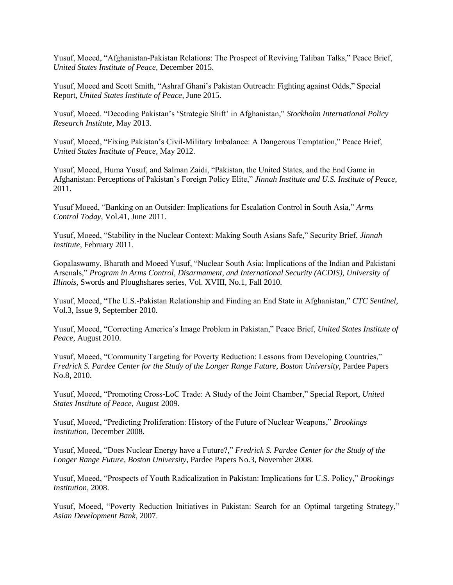Yusuf, Moeed, "Afghanistan-Pakistan Relations: The Prospect of Reviving Taliban Talks," Peace Brief, *United States Institute of Peace,* December 2015.

Yusuf, Moeed and Scott Smith, "Ashraf Ghani"s Pakistan Outreach: Fighting against Odds," Special Report, *United States Institute of Peace,* June 2015.

Yusuf, Moeed. "Decoding Pakistan"s "Strategic Shift" in Afghanistan," *Stockholm International Policy Research Institute,* May 2013.

Yusuf, Moeed, "Fixing Pakistan"s Civil-Military Imbalance: A Dangerous Temptation," Peace Brief, *United States Institute of Peace*, May 2012.

Yusuf, Moeed, Huma Yusuf, and Salman Zaidi, "Pakistan, the United States, and the End Game in Afghanistan: Perceptions of Pakistan"s Foreign Policy Elite," *Jinnah Institute and U.S. Institute of Peace*, 2011.

Yusuf Moeed, "Banking on an Outsider: Implications for Escalation Control in South Asia," *Arms Control Today*, Vol.41, June 2011.

Yusuf, Moeed, "Stability in the Nuclear Context: Making South Asians Safe," Security Brief, *Jinnah Institute*, February 2011.

Gopalaswamy, Bharath and Moeed Yusuf, "Nuclear South Asia: Implications of the Indian and Pakistani Arsenals," *Program in Arms Control, Disarmament, and International Security (ACDIS), University of Illinois,* Swords and Ploughshares series*,* Vol. XVIII, No.1, Fall 2010.

Yusuf, Moeed, "The U.S.-Pakistan Relationship and Finding an End State in Afghanistan," *CTC Sentinel*, Vol.3, Issue 9, September 2010.

Yusuf, Moeed, "Correcting America"s Image Problem in Pakistan," Peace Brief, *United States Institute of Peace*, August 2010.

Yusuf, Moeed, "Community Targeting for Poverty Reduction: Lessons from Developing Countries," *Fredrick S. Pardee Center for the Study of the Longer Range Future*, *Boston University*, Pardee Papers No.8, 2010.

Yusuf, Moeed, "Promoting Cross-LoC Trade: A Study of the Joint Chamber," Special Report, *United States Institute of Peace*, August 2009.

Yusuf, Moeed, "Predicting Proliferation: History of the Future of Nuclear Weapons," *Brookings Institution*, December 2008.

Yusuf, Moeed, "Does Nuclear Energy have a Future?," *Fredrick S. Pardee Center for the Study of the Longer Range Future*, *Boston University*, Pardee Papers No.3, November 2008.

Yusuf, Moeed, "Prospects of Youth Radicalization in Pakistan: Implications for U.S. Policy," *Brookings Institution*, 2008.

Yusuf, Moeed, "Poverty Reduction Initiatives in Pakistan: Search for an Optimal targeting Strategy," *Asian Development Bank*, 2007.